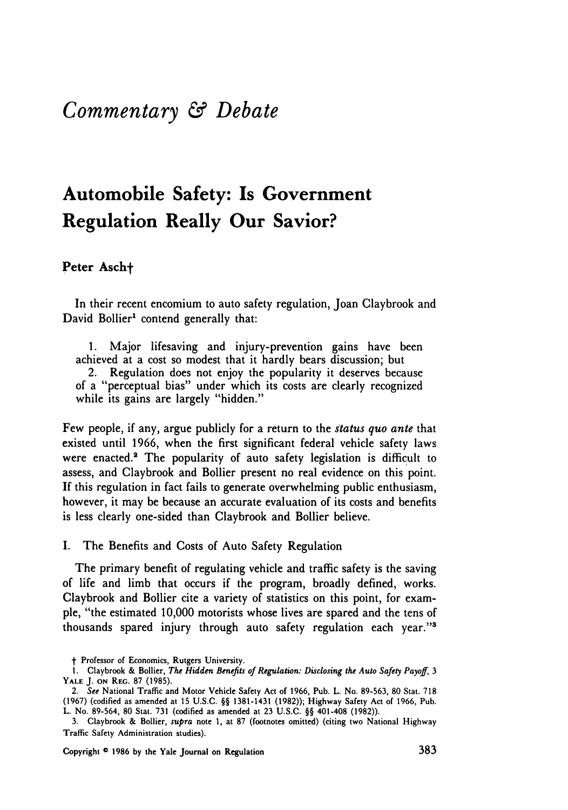## *Commentary & Debate*

# **Automobile Safety: Is Government Regulation Really Our Savior?**

### Peter Asch<sup>+</sup>

In their recent encomium to auto safety regulation, Joan Claybrook and David Bollier<sup>1</sup> contend generally that:

1. Major lifesaving and injury-prevention gains have been achieved at a cost so modest that it hardly bears discussion; but 2. Regulation does not enjoy the popularity it deserves because of a "perceptual bias" under which its costs are clearly recognized while its gains are largely "hidden."

Few people, if any, argue publicly for a return to the *status quo ante* that existed until 1966, when the first significant federal vehicle safety laws were enacted.<sup>2</sup> The popularity of auto safety legislation is difficult to assess, and Claybrook and Bollier present no real evidence on this point. If this regulation in fact fails to generate overwhelming public enthusiasm, however, it may be because an accurate evaluation of its costs and benefits is less clearly one-sided than Claybrook and Bollier believe.

I. The Benefits and Costs of Auto Safety Regulation

The primary benefit of regulating vehicle and traffic safety is the saving of life and limb that occurs if the program, broadly defined, works. Claybrook and Bollier cite a variety of statistics on this point, for example, "the estimated 10,000 motorists whose lives are spared and the tens of thousands spared injury through auto safety regulation each year."'

Copyright **0 1986 by** the Yale Journal on Regulation **383**

t Professor of Economics, Rutgers University.

<sup>1.</sup> Claybrook & Bollier, *The Hidden Benefits of Regulation: Disclosing the Auto Safety Payoff, 3* **YALE** J. **ON** REG. **87** (1985).

*<sup>2.</sup> See* National Traffic and Motor Vehicle Safety Act of **1966,** Pub. L. No. **89-563, 80** Stat. **718 (1967)** (codified as amended at **15 U.S.C.** §§ **1381-1431 (1982));** Highway Safety Act of **1966,** Pub. L. No. **89-564, 80** Stat. **731** (codified as amended at **23 U.S.C. §§** 401-408 **(1982)).**

**<sup>3.</sup>** Claybrook & Bollier, *supra* note 1, at **87** (footnotes omitted) (citing two National Highway Traffic Safety Administration studies).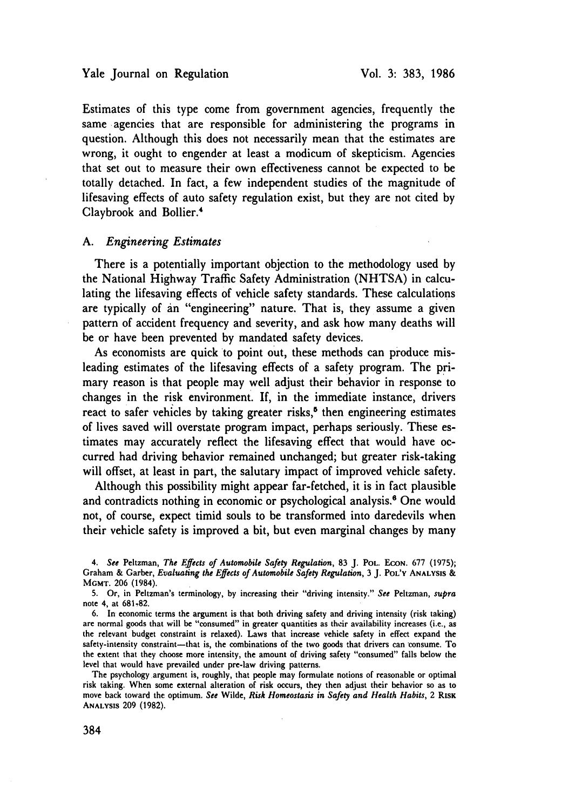Estimates of this type come from government agencies, frequently the same agencies that are responsible for administering the programs in question. Although this does not necessarily mean that the estimates are wrong, it ought to engender at least a modicum of skepticism. Agencies that set out to measure their own effectiveness cannot be expected to be totally detached. In fact, a few independent studies of the magnitude of lifesaving effects of auto safety regulation exist, but they are not cited by Claybrook and Bollier.'

#### A. *Engineering Estimates*

There is a potentially important objection to the methodology used by the National Highway Traffic Safety Administration (NHTSA) in calculating the lifesaving effects of vehicle safety standards. These calculations are typically of an "engineering" nature. That is, they assume a given pattern of accident frequency and severity, and ask how many deaths will be or have been prevented by mandated safety devices.

As economists are quick to point out, these methods can produce misleading estimates of the lifesaving effects of a safety program. The primary reason is that people may well adjust their behavior in response to changes in the risk environment. If, in the immediate instance, drivers react to safer vehicles by taking greater risks,<sup> $\delta$ </sup> then engineering estimates of lives saved will overstate program impact, perhaps seriously. These estimates may accurately reflect the lifesaving effect that would have occurred had driving behavior remained unchanged; but greater risk-taking will offset, at least in part, the salutary impact of improved vehicle safety.

Although this possibility might appear far-fetched, it is in fact plausible and contradicts nothing in economic or psychological analysis.<sup>6</sup> One would not, of course, expect timid souls to be transformed into daredevils when their vehicle safety is improved a bit, but even marginal changes by many

*4. See* Peltzman, *The Effects of Automobile Safety Regulation,* **83** J. POL. ECON. 677 (1975); Graham & Garber, *Evaluating the Effects of Automobile Safety Regulation,* 3 J. **POL'Y ANALYSIS** & **MGMT.** 206 (1984).

**5.** Or, in Peltzman's terminology, by increasing their "driving intensity." *See* Peltzman, *supra* note 4, at 681-82.

6. In economic terms the argument is that both driving safety and driving intensity (risk taking) are normal goods that will be "consumed" in greater quantities as their availability increases (i.e., as the relevant budget constraint is relaxed). Laws that increase vehicle safety in effect expand the safety-intensity constraint-that is, the combinations of the two goods that drivers can consume. To the extent that they choose more intensity, the amount of driving safety "consumed" falls below the level that would have prevailed under pre-law driving patterns.

The psychology argument is, roughly, that people may formulate notions of reasonable or optimal risk taking. When some external alteration of risk occurs, they then adjust their behavior so as to move back toward the optimum. *See* Wilde, *Risk Homeostasis in Safety and Health Habits,* 2 RsK **ANALYSIS** 209 (1982).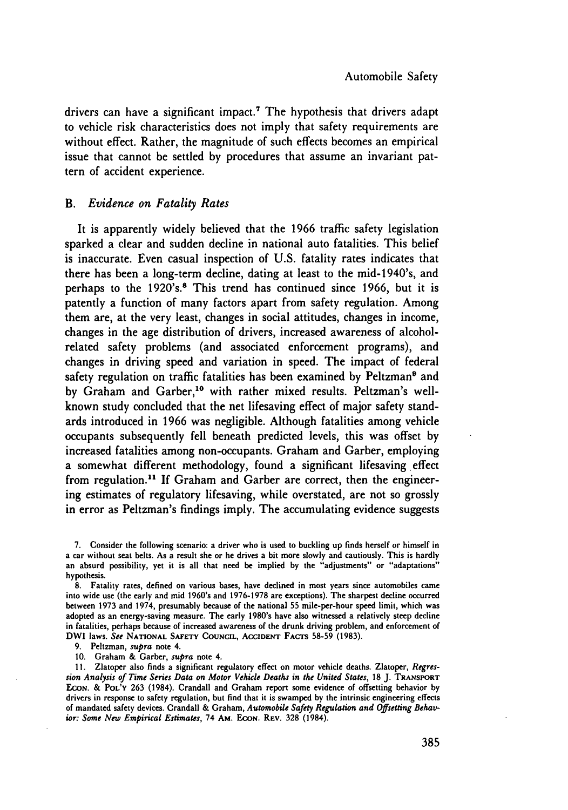drivers can have a significant impact.<sup>7</sup> The hypothesis that drivers adapt to vehicle risk characteristics does not imply that safety requirements are without effect. Rather, the magnitude of such effects becomes an empirical issue that cannot be settled **by** procedures that assume an invariant pattern of accident experience.

#### *B. Evidence on Fatality Rates*

It is apparently widely believed that the **1966** traffic safety legislation sparked a clear and sudden decline in national auto fatalities. This belief is inaccurate. Even casual inspection of **U.S.** fatality rates indicates that there has been a long-term decline, dating at least to the mid-1940's, and perhaps to the 1920's.8 This trend has continued since **1966,** but it is patently a function of many factors apart from safety regulation. Among them are, at the very least, changes in social attitudes, changes in income, changes in the age distribution of drivers, increased awareness of alcoholrelated safety problems (and associated enforcement programs), and changes in driving speed and variation in speed. The impact of federal safety regulation on traffic fatalities has been examined by Peltzman<sup>9</sup> and by Graham and Garber,<sup>10</sup> with rather mixed results. Peltzman's wellknown study concluded that the net lifesaving effect of major safety standards introduced in **1966** was negligible. Although fatalities among vehicle occupants subsequently fell beneath predicted levels, this was offset **by** increased fatalities among non-occupants. Graham and Garber, employing a somewhat different methodology, found a significant lifesaving effect from regulation.<sup>11</sup> If Graham and Garber are correct, then the engineering estimates of regulatory lifesaving, while overstated, are not so grossly in error as Peltzman's findings imply. The accumulating evidence suggests

9. Peltzman, *supra* note 4.

**10.** Graham & Garber, *supra* note 4.

**11.** Zlatoper also finds a significant regulatory effect on motor vehicle deaths. Zlatoper, *Regression Analysis of Time Series Data* on *Motor Vehicle Deaths in the United States,* **18** J. **TRANSPORT ECON.** & POL'Y 263 (1984). Crandall and Graham report some evidence of offsetting behavior **by** drivers in response to safety regulation, but find that it is swamped **by** the intrinsic engineering effects of mandated safety devices. Crandall **&** Graham, *Automobile Safety Regulation and Offsetting* Behav*ior: Some New Empirical Estimates,* 74 AM. **ECON.** REV. **328** (1984).

<sup>7.</sup> Consider the following scenario: a driver who is used to buckling up finds herself or himself in a car without seat belts. As a result she or he drives a bit more slowly and cautiously. This is hardly an absurd possibility, yet it is all that need be implied **by** the "adjustments" or "adaptations" hypothesis.

**<sup>8.</sup>** Fatality rates, defined on various bases, have declined in most years since automobiles came into wide use (the early and mid 1960's and **1976-1978** are exceptions). The sharpest decline occurred between **1973** and 1974, presumably because of the national **55** mile-per-hour speed limit, which was adopted as an energy-saving measure. The early 1980's have also witnessed a relatively steep decline in fatalities, perhaps because of increased awareness of the drunk driving problem, and enforcement of DWI laws. *See* **NATIONAL** SAFETY **COUNCIL, ACCIDENT FACTs 58-59 (1983).**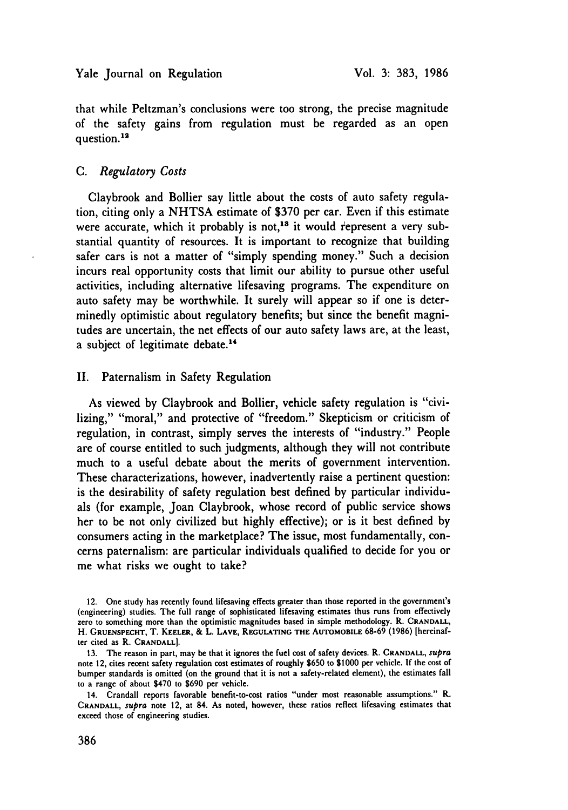that while Peltzman's conclusions were too strong, the precise magnitude of the safety gains from regulation must be regarded as an open question.<sup>12</sup>

#### *C. Regulatory Costs*

Claybrook and Bollier say little about the costs of auto safety regulation, citing only a **NHTSA** estimate of **\$370** per car. Even if this estimate were accurate, which it probably is not,<sup>18</sup> it would represent a very substantial quantity of resources. It is important to recognize that building safer cars is not a matter of "simply spending money." Such a decision incurs real opportunity costs that limit our ability to pursue other useful activities, including alternative lifesaving programs. The expenditure on auto safety may be worthwhile. It surely will appear so if one is determinedly optimistic about regulatory benefits; but since the benefit magnitudes are uncertain, the net effects of our auto safety laws are, at the least, a subject of legitimate debate.<sup>14</sup>

#### II. Paternalism in Safety Regulation

As viewed by Claybrook and Bollier, vehicle safety regulation is "civilizing," "moral," and protective of "freedom." Skepticism or criticism of regulation, in contrast, simply serves the interests of "industry." People are of course entitled to such judgments, although they will not contribute much to a useful debate about the merits of government intervention. These characterizations, however, inadvertently raise a pertinent question: is the desirability of safety regulation best defined by particular individuals (for example, Joan Claybrook, whose record of public service shows her to be not only civilized but highly effective); or is it best defined by consumers acting in the marketplace? The issue, most fundamentally, concerns paternalism: are particular individuals qualified to decide for you or me what risks we ought to take?

<sup>12.</sup> One study has recently found lifesaving effects greater than those reported in the government's (engineering) studies. The full range of sophisticated lifesaving estimates thus runs from effectively zero to something more than the optimistic magnitudes based in simple methodology. R. **CRANDALL,** H. **GRUENSPECHT,** T. **KEELER, &** L. **LAVE, REGULATING THE AUTOMOBILE 68-69 (1986)** [hereinafter cited as R. **CRANDALL].**

**<sup>13.</sup>** The reason in part, may be that it ignores the fuel cost of safety devices. R. **CRANDALL,** *supra* note 12, cites recent safety regulation cost estimates of roughly **\$650** to **\$1000** per vehicle. **If** the cost of bumper standards is omitted (on the ground that it is not a safety-related element), the estimates fall to a range of about \$470 to **\$690** per vehicle.

<sup>14.</sup> Crandall reports favorable benefit-to-cost ratios "under most reasonable assumptions." R. **CRANDALL,** *supra* note 12, at 84. As noted, however, these ratios reflect lifesaving estimates that exceed those of engineering studies.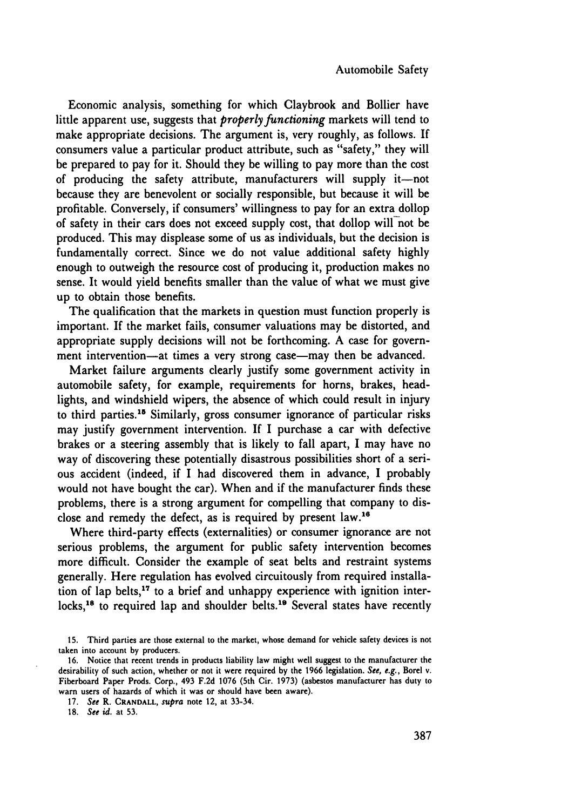Economic analysis, something for which Claybrook and Bollier have little apparent use, suggests that *properly functioning* markets will tend to make appropriate decisions. The argument is, very roughly, as follows. If consumers value a particular product attribute, such as "safety," they will be prepared to pay for it. Should they be willing to pay more than the cost of producing the safety attribute, manufacturers will supply it-not because they are benevolent or socially responsible, but because it will be profitable. Conversely, if consumers' willingness to pay for an extra dollop of safety in their cars does not exceed supply cost, that dollop will not be produced. This may displease some of us as individuals, but the decision is fundamentally correct. Since we do not value additional safety highly enough to outweigh the resource cost of producing it, production makes no sense. It would yield benefits smaller than the value of what we must give up to obtain those benefits.

The qualification that the markets in question must function properly is important. If the market fails, consumer valuations may be distorted, and appropriate supply decisions will not be forthcoming. A case for government intervention—at times a very strong case—may then be advanced.

Market failure arguments clearly justify some government activity in automobile safety, for example, requirements for horns, brakes, headlights, and windshield wipers, the absence of which could result in injury to third parties.<sup>15</sup> Similarly, gross consumer ignorance of particular risks may justify government intervention. If I purchase a car with defective brakes or a steering assembly that is likely to fall apart, I may have no way of discovering these potentially disastrous possibilities short of a serious accident (indeed, if I had discovered them in advance, I probably would not have bought the car). When and if the manufacturer finds these problems, there is a strong argument for compelling that company to disclose and remedy the defect, as is required by present law.<sup>16</sup>

Where third-party effects (externalities) or consumer ignorance are not serious problems, the argument for public safety intervention becomes more difficult. Consider the example of seat belts and restraint systems generally. Here regulation has evolved circuitously from required installation of lap belts,<sup>17</sup> to a brief and unhappy experience with ignition interlocks,<sup>18</sup> to required lap and shoulder belts.<sup>19</sup> Several states have recently

18. See id. at 53.

<sup>15.</sup> Third parties are those external to the market, whose demand for vehicle safety devices is not taken into account by producers.

<sup>16.</sup> Notice that recent trends in products liability law might well suggest to the manufacturer the desirability of such action, whether or not it were required **by** the 1966 legislation. *See, e.g.,* Borel v. Fiberboard Paper Prods. Corp., 493 F.2d 1076 (5th Cir. 1973) (asbestos manufacturer has duty to warn users of hazards of which it was or should have been aware).

<sup>17.</sup> *See* R. **CRANDALL,** *supra* note 12, at 33-34.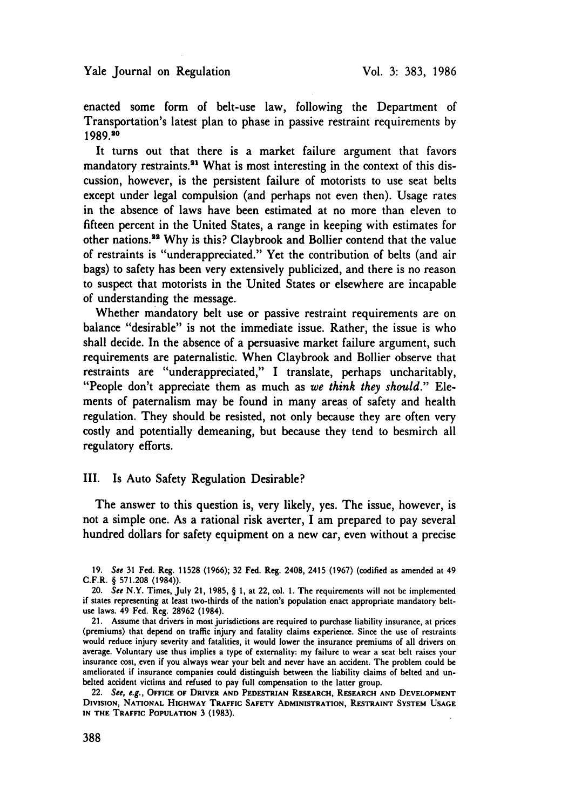enacted some form of belt-use law, following the Department of Transportation's latest plan to phase in passive restraint requirements by 1989.20

It turns out that there is a market failure argument that favors mandatory restraints.<sup>21</sup> What is most interesting in the context of this discussion, however, is the persistent failure of motorists to use seat belts except under legal compulsion (and perhaps not even then). Usage rates in the absence of laws have been estimated at no more than eleven to fifteen percent in the United States, a range in keeping with estimates for other nations.<sup>32</sup> Why is this? Claybrook and Bollier contend that the value of restraints is "underappreciated." Yet the contribution of belts (and air bags) to safety has been very extensively publicized, and there is no reason to suspect that motorists in the United States or elsewhere are incapable of understanding the message.

Whether mandatory belt use or passive restraint requirements are on balance "desirable" is not the immediate issue. Rather, the issue is who shall decide. In the absence of a persuasive market failure argument, such requirements are paternalistic. When Claybrook and Bollier observe that restraints are "underappreciated," I translate, perhaps uncharitably, "People don't appreciate them as much as *we think they should."* Elements of paternalism may be found in many areas of safety and health regulation. They should be resisted, not only because they are often very costly and potentially demeaning, but because they tend to besmirch all regulatory efforts.

#### III. Is Auto Safety Regulation Desirable?

The answer to this question is, very likely, yes. The issue, however, is not a simple one. As a rational risk averter, I am prepared to pay several hundred dollars for safety equipment on a new car, even without a precise

22. See, e.g., **OFFICE OF DRIVER AND PEDESTRIAN** RESEARCH, RESEARCH **AND DEVELOPMENT DIVISION, NATIONAL HIGHWAY TRAFFIC SAFETY ADMINISTRATION, RESTRAINT SYSTEM USAGE IN THE TRAFFIC POPULATION 3 (1983).**

<sup>19.</sup> See **31 Fed.** Reg. 11528 (1966); **32** Fed. Reg. 2408, 2415 (1967) (codified as amended at 49 **C.F.R.** § 571.208 (1984)).

<sup>20.</sup> See N.Y. Times, July 21, 1985, § 1, at 22, col. 1. The requirements will not be implemented if states representing at least two-thirds of the nation's population enact appropriate mandatory beltuse laws. 49 Fed. Reg. **28962** (1984).

<sup>21.</sup> Assume that drivers in most jurisdictions are required to purchase liability insurance, at prices (premiums) that depend on traffic injury and fatality claims experience. Since the use of restraints would reduce injury severity and fatalities, it would lower the insurance premiums of all drivers on average. Voluntary use thus implies a type of externality: my failure to wear a seat belt raises your insurance cost, even if you always wear your belt and never have an accident. The problem could be ameliorated if insurance companies could distinguish between the liability claims of belted and unbelted accident victims and refused to pay full compensation to the latter group.